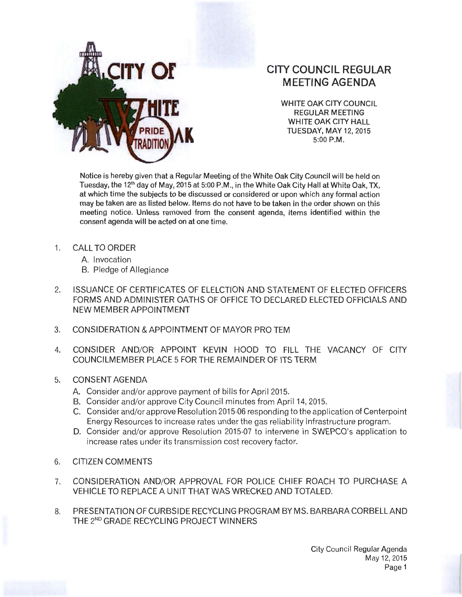

## **TY OF CITY COUNCIL REGULAR MEETING AGENDA**

WHITE OAK CITY COUNCIL REGULAR MEETING WHITE OAK CITY HALL TUESDAY, MAY 12, 2015 5:00 P.M.

Notice is hereby given that a Regular Meeting of the White Oak City Council will be held on Tuesday, the 12<sup>th</sup> day of May, 2015 at 5:00 P.M., in the White Oak City Hall at White Oak, TX, at which time the subjects to be discussed or considered or upon which any formal action may be taken are as listed below. Items do not have to be taken in the order shown on this meeting notice. Unless removed from the consent agenda, items identified within the consent agenda will be acted on at one time.

- 1. CALL TO ORDER
	- A. Invocation
	- B. Pledge of Allegiance
- 2. ISSUANCE OF CERTIFICATES OF ELELCTION AND STATEMENT OF ELECTED OFFICERS FORMS AND ADMINISTER OATHS OF OFFICE TO DECLARED ELECTED OFFICIALS AND NEW MEMBER APPOINTMENT
- 3. CONSIDERATION & APPOINTMENT OF MAYOR PROTEM
- 4. CONSIDER AND/OR APPOINT KEVIN HOOD TO FILL THE VACANCY OF CITY COUNCILMEMBER PLACE 5 FOR THE REMAINDER OF ITS TERM
- 5. CONSENT AGENDA
	- A. Consider and/or approve payment of bills for April 2015.
	- B. Consider and/or approve City Council minutes from April 14, 2015.
	- C. Consider and/or approve Resolution 2015-06 responding to the application of Centerpoint Energy Resources to increase rates under the gas reliability infrastructure program.
	- D. Consider and/or approve Resolution 2015-07 to intervene in SWEPCO's application to increase rates under its transmission cost recovery factor.
- 6. CITIZEN COMMENTS
- 7. CONSIDERATION AND/OR APPROVAL FOR POLICE CHIEF ROACH TO PURCHASE A VEHICLE TO REPLACE A UNIT THAT WAS WRECKED AND TOTALED.
- 8. PRESENTATION OF CURBSIDE RECYCLING PROGRAM BYMS. BARBARACORBELLAND THE 2<sup>ND</sup> GRADE RECYCLING PROJECT WINNERS